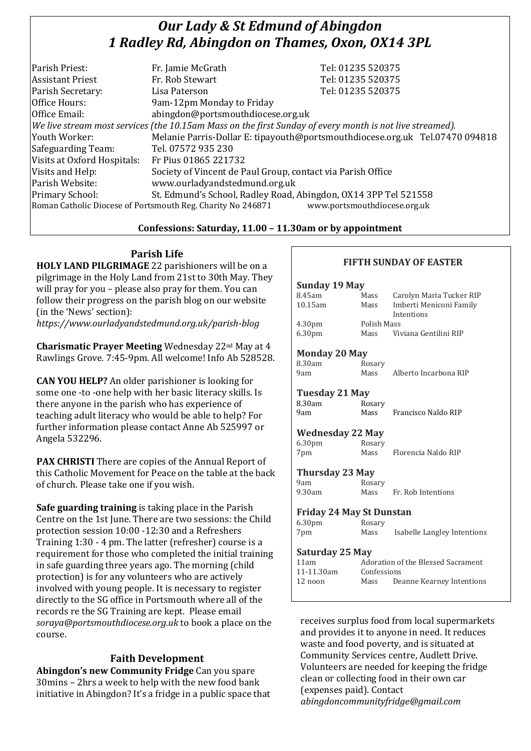# *Our Lady & St Edmund of Abingdon 1 Radley Rd, Abingdon on Thames, Oxon, OX14 3PL*

| Parish Priest:                                                                                           | Fr. Jamie McGrath                                               | Tel: 01235 520375                                                            |  |  |
|----------------------------------------------------------------------------------------------------------|-----------------------------------------------------------------|------------------------------------------------------------------------------|--|--|
| <b>Assistant Priest</b>                                                                                  | Fr. Rob Stewart                                                 | Tel: 01235 520375                                                            |  |  |
| Parish Secretary:                                                                                        | Lisa Paterson                                                   | Tel: 01235 520375                                                            |  |  |
| Office Hours:                                                                                            | 9am-12pm Monday to Friday                                       |                                                                              |  |  |
| Office Email:                                                                                            | abingdon@portsmouthdiocese.org.uk                               |                                                                              |  |  |
| We live stream most services (the 10.15am Mass on the first Sunday of every month is not live streamed). |                                                                 |                                                                              |  |  |
| Youth Worker:                                                                                            |                                                                 | Melanie Parris-Dollar E: tipayouth@portsmouthdiocese.org.uk Tel.07470 094818 |  |  |
| Safeguarding Team:                                                                                       | Tel. 07572 935 230                                              |                                                                              |  |  |
| Visits at Oxford Hospitals:                                                                              | Fr Pius 01865 221732                                            |                                                                              |  |  |
| Visits and Help:                                                                                         | Society of Vincent de Paul Group, contact via Parish Office     |                                                                              |  |  |
| Parish Website:                                                                                          | www.ourladyandstedmund.org.uk                                   |                                                                              |  |  |
| Primary School:                                                                                          | St. Edmund's School, Radley Road, Abingdon, OX14 3PP Tel 521558 |                                                                              |  |  |
| Roman Catholic Diocese of Portsmouth Reg. Charity No 246871<br>www.portsmouthdiocese.org.uk              |                                                                 |                                                                              |  |  |

#### **Confessions: Saturday, 11.00 – 11.30am or by appointment**

### **Parish Life**

**HOLY LAND PILGRIMAGE** 22 parishioners will be on a pilgrimage in the Holy Land from 21st to 30th May. They will pray for you – please also pray for them. You can follow their progress on the parish blog on our website (in the 'News' section):

*https://www.ourladyandstedmund.org.uk/parish-blog*

**Charismatic Prayer Meeting** Wednesday 22nd May at 4 Rawlings Grove. 7:45-9pm. All welcome! Info Ab 528528.

**CAN YOU HELP?** An older parishioner is looking for some one -to -one help with her basic literacy skills. Is there anyone in the parish who has experience of teaching adult literacy who would be able to help? For further information please contact Anne Ab 525997 or Angela 532296.

**PAX CHRISTI** There are copies of the Annual Report of this Catholic Movement for Peace on the table at the back of church. Please take one if you wish.

**Safe guarding training** is taking place in the Parish Centre on the 1st June. There are two sessions: the Child protection session 10:00 -12:30 and a Refreshers Training 1:30 - 4 pm. The latter (refresher) course is a requirement for those who completed the initial training in safe guarding three years ago. The morning (child protection) is for any volunteers who are actively involved with young people. It is necessary to register directly to the SG office in Portsmouth where all of the records re the SG Training are kept. Please email *soraya@portsmouthdiocese.org.uk* to book a place on the course.

## **Faith Development**

**Abingdon's new Community Fridge** Can you spare 30mins – 2hrs a week to help with the new food bank initiative in Abingdon? It's a fridge in a public space that

### **FIFTH SUNDAY OF EASTER**

| Sunday 19 May                           |             |                             |  |  |
|-----------------------------------------|-------------|-----------------------------|--|--|
| 8.45am                                  | Mass        | Carolyn Maria Tucker RIP    |  |  |
| 10.15am                                 | Mass        | Imberti Meniconi Family     |  |  |
|                                         |             | Intentions                  |  |  |
| 4.30 <sub>pm</sub>                      | Polish Mass |                             |  |  |
| 6.30 <sub>pm</sub>                      | Mass        | Viviana Gentilini RIP       |  |  |
|                                         |             |                             |  |  |
| <b>Monday 20 May</b>                    |             |                             |  |  |
| 8.30am                                  | Rosary      |                             |  |  |
| 9am                                     | Mass        | Alberto Incarbona RIP       |  |  |
|                                         |             |                             |  |  |
| Tuesday 21 May                          |             |                             |  |  |
| 8.30am                                  | Rosary      |                             |  |  |
| 9am                                     | Mass        | Francisco Naldo RIP         |  |  |
|                                         |             |                             |  |  |
| <b>Wednesday 22 May</b>                 |             |                             |  |  |
| 6.30 <sub>pm</sub>                      | Rosary      |                             |  |  |
| 7pm                                     | Mass        | Florencia Naldo RIP         |  |  |
|                                         |             |                             |  |  |
| Thursday 23 May                         |             |                             |  |  |
| 9am                                     | Rosary      |                             |  |  |
| 9.30am                                  | Mass        | Fr. Rob Intentions          |  |  |
|                                         |             |                             |  |  |
| <b>Friday 24 May St Dunstan</b>         |             |                             |  |  |
| 6.30pm                                  | Rosary      |                             |  |  |
| 7pm                                     | Mass        | Isabelle Langley Intentions |  |  |
|                                         |             |                             |  |  |
| Saturday 25 May                         |             |                             |  |  |
| 11am Adoration of the Blessed Sacrament |             |                             |  |  |

| $Jau$ ul uay $LJ$ riay |                                    |                           |  |  |
|------------------------|------------------------------------|---------------------------|--|--|
| 11am                   | Adoration of the Blessed Sacrament |                           |  |  |
| 11-11.30am             | Confessions                        |                           |  |  |
| 12 noon                | Mass                               | Deanne Kearney Intentions |  |  |
|                        |                                    |                           |  |  |

receives surplus food from local supermarkets and provides it to anyone in need. It reduces waste and food poverty, and is situated at Community Services centre, Audlett Drive. Volunteers are needed for keeping the fridge clean or collecting food in their own car (expenses paid). Contact *abingdoncommunityfridge@gmail.com*